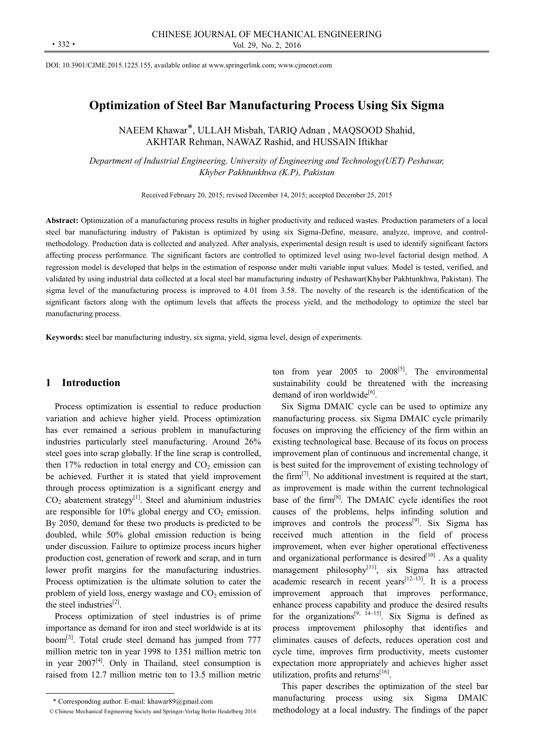DOI: 10.3901/CJME.2015.1225.155, available online at www.springerlink.com; www.cjmenet.com

# **Optimization of Steel Bar Manufacturing Process Using Six Sigma**

NAEEM Khawar\*, ULLAH Misbah, TARIQ Adnan , MAQSOOD Shahid, AKHTAR Rehman, NAWAZ Rashid, and HUSSAIN Iftikhar

*Department of Industrial Engineering, University of Engineering and Technology(UET) Peshawar, Khyber Pakhtunkhwa (K.P), Pakistan* 

Received February 20, 2015; revised December 14, 2015; accepted December 25, 2015

**Abstract:** Optimization of a manufacturing process results in higher productivity and reduced wastes. Production parameters of a local steel bar manufacturing industry of Pakistan is optimized by using six Sigma-Define, measure, analyze, improve, and controlmethodology. Production data is collected and analyzed. After analysis, experimental design result is used to identify significant factors affecting process performance. The significant factors are controlled to optimized level using two-level factorial design method. A regression model is developed that helps in the estimation of response under multi variable input values. Model is tested, verified, and validated by using industrial data collected at a local steel bar manufacturing industry of Peshawar(Khyber Pakhtunkhwa, Pakistan). The sigma level of the manufacturing process is improved to 4.01 from 3.58. The novelty of the research is the identification of the significant factors along with the optimum levels that affects the process yield, and the methodology to optimize the steel bar manufacturing process.

**Keywords: s**teel bar manufacturing industry, six sigma, yield, sigma level, design of experiments.

# **1 Introduction**

Process optimization is essential to reduce production variation and achieve higher yield. Process optimization has ever remained a serious problem in manufacturing industries particularly steel manufacturing. Around 26% steel goes into scrap globally. If the line scrap is controlled, then  $17\%$  reduction in total energy and  $CO<sub>2</sub>$  emission can be achieved. Further it is stated that yield improvement through process optimization is a significant energy and  $CO<sub>2</sub>$  abatement strategy<sup>[1]</sup>. Steel and aluminium industries are responsible for  $10\%$  global energy and  $CO<sub>2</sub>$  emission. By 2050, demand for these two products is predicted to be doubled, while 50% global emission reduction is being under discussion. Failure to optimize process incurs higher production cost, generation of rework and scrap, and in turn lower profit margins for the manufacturing industries. Process optimization is the ultimate solution to cater the problem of yield loss, energy wastage and  $CO<sub>2</sub>$  emission of the steel industries $^{[2]}$ .

Process optimization of steel industries is of prime importance as demand for iron and steel worldwide is at its boom[3]. Total crude steel demand has jumped from 777 million metric ton in year 1998 to 1351 million metric ton in year  $2007^{[4]}$ . Only in Thailand, steel consumption is raised from 12.7 million metric ton to 13.5 million metric

 $\overline{a}$ 

ton from year 2005 to  $2008^{[5]}$ . The environmental sustainability could be threatened with the increasing demand of iron worldwide $[6]$ .

Six Sigma DMAIC cycle can be used to optimize any manufacturing process. six Sigma DMAIC cycle primarily focuses on improving the efficiency of the firm within an existing technological base. Because of its focus on process improvement plan of continuous and incremental change, it is best suited for the improvement of existing technology of the firm<sup>[7]</sup>. No additional investment is required at the start, as improvement is made within the current technological base of the firm[8]. The DMAIC cycle identifies the root causes of the problems, helps infinding solution and improves and controls the process<sup>[9]</sup>. Six Sigma has received much attention in the field of process improvement, when ever higher operational effectiveness and organizational performance is desired $[10]$ . As a quality management philosophy $[11]$ , six Sigma has attracted academic research in recent years<sup>[12–13]</sup>. It is a process improvement approach that improves performance, enhance process capability and produce the desired results for the organizations<sup>[9, 14–15]</sup>. Six Sigma is defined as process improvement philosophy that identifies and eliminates causes of defects, reduces operation cost and cycle time, improves firm productivity, meets customer expectation more appropriately and achieves higher asset utilization, profits and returns<sup>[16]</sup>.

This paper describes the optimization of the steel bar manufacturing process using six Sigma DMAIC methodology at a local industry. The findings of the paper

<sup>\*</sup> Corresponding author. E-mail: khawar89@gmail.com

<sup>©</sup> Chinese Mechanical Engineering Society and Springer-Verlag Berlin Heidelberg 2016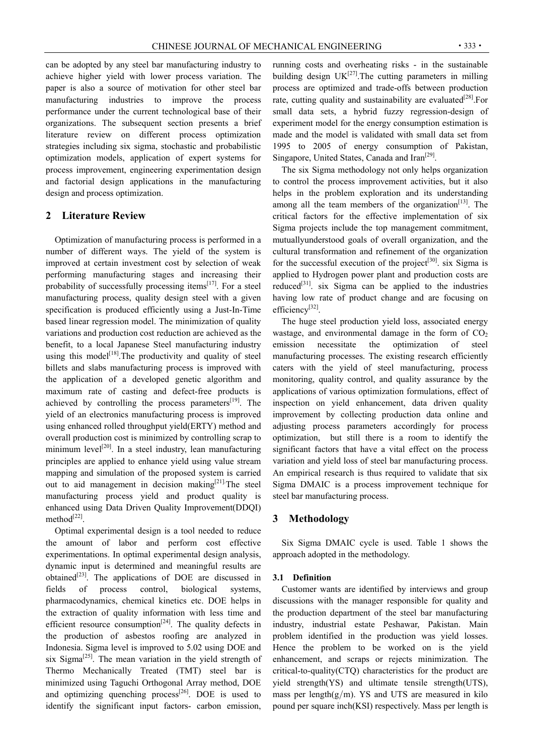can be adopted by any steel bar manufacturing industry to achieve higher yield with lower process variation. The paper is also a source of motivation for other steel bar manufacturing industries to improve the process performance under the current technological base of their organizations. The subsequent section presents a brief literature review on different process optimization strategies including six sigma, stochastic and probabilistic optimization models, application of expert systems for process improvement, engineering experimentation design and factorial design applications in the manufacturing design and process optimization.

# **2 Literature Review**

Optimization of manufacturing process is performed in a number of different ways. The yield of the system is improved at certain investment cost by selection of weak performing manufacturing stages and increasing their probability of successfully processing items $^{[17]}$ . For a steel manufacturing process, quality design steel with a given specification is produced efficiently using a Just-In-Time based linear regression model. The minimization of quality variations and production cost reduction are achieved as the benefit, to a local Japanese Steel manufacturing industry using this model<sup>[18]</sup>. The productivity and quality of steel billets and slabs manufacturing process is improved with the application of a developed genetic algorithm and maximum rate of casting and defect-free products is achieved by controlling the process parameters $[19]$ . The yield of an electronics manufacturing process is improved using enhanced rolled throughput yield(ERTY) method and overall production cost is minimized by controlling scrap to minimum level<sup>[20]</sup>. In a steel industry, lean manufacturing principles are applied to enhance yield using value stream mapping and simulation of the proposed system is carried out to aid management in decision making $[21]$ . The steel manufacturing process yield and product quality is enhanced using Data Driven Quality Improvement(DDQI) method $^{[22]}$ .

Optimal experimental design is a tool needed to reduce the amount of labor and perform cost effective experimentations. In optimal experimental design analysis, dynamic input is determined and meaningful results are obtained<sup>[23]</sup>. The applications of DOE are discussed in fields of process control, biological systems, pharmacodynamics, chemical kinetics etc. DOE helps in the extraction of quality information with less time and efficient resource consumption<sup>[24]</sup>. The quality defects in the production of asbestos roofing are analyzed in Indonesia. Sigma level is improved to 5.02 using DOE and six Sigma<sup>[25]</sup>. The mean variation in the yield strength of Thermo Mechanically Treated (TMT) steel bar is minimized using Taguchi Orthogonal Array method, DOE and optimizing quenching process $[26]$ . DOE is used to identify the significant input factors- carbon emission,

running costs and overheating risks - in the sustainable building design  $UK^{[27]}$ . The cutting parameters in milling process are optimized and trade-offs between production rate, cutting quality and sustainability are evaluated  $[28]$ . For small data sets, a hybrid fuzzy regression-design of experiment model for the energy consumption estimation is made and the model is validated with small data set from 1995 to 2005 of energy consumption of Pakistan, Singapore, United States, Canada and Iran<sup>[29]</sup>.

The six Sigma methodology not only helps organization to control the process improvement activities, but it also helps in the problem exploration and its understanding among all the team members of the organization<sup>[13]</sup>. The critical factors for the effective implementation of six Sigma projects include the top management commitment, mutuallyunderstood goals of overall organization, and the cultural transformation and refinement of the organization for the successful execution of the project<sup>[30]</sup>. six Sigma is applied to Hydrogen power plant and production costs are reduced<sup>[31]</sup>. six Sigma can be applied to the industries having low rate of product change and are focusing on efficiency[32].

The huge steel production yield loss, associated energy wastage, and environmental damage in the form of  $CO<sub>2</sub>$ emission necessitate the optimization of steel manufacturing processes. The existing research efficiently caters with the yield of steel manufacturing, process monitoring, quality control, and quality assurance by the applications of various optimization formulations, effect of inspection on yield enhancement, data driven quality improvement by collecting production data online and adjusting process parameters accordingly for process optimization, but still there is a room to identify the significant factors that have a vital effect on the process variation and yield loss of steel bar manufacturing process. An empirical research is thus required to validate that six Sigma DMAIC is a process improvement technique for steel bar manufacturing process.

# **3 Methodology**

Six Sigma DMAIC cycle is used. Table 1 shows the approach adopted in the methodology.

### **3.1 Definition**

Customer wants are identified by interviews and group discussions with the manager responsible for quality and the production department of the steel bar manufacturing industry, industrial estate Peshawar, Pakistan. Main problem identified in the production was yield losses. Hence the problem to be worked on is the yield enhancement, and scraps or rejects minimization. The critical-to-quality(CTQ) characteristics for the product are yield strength(YS) and ultimate tensile strength(UTS), mass per length $(g/m)$ . YS and UTS are measured in kilo pound per square inch(KSI) respectively. Mass per length is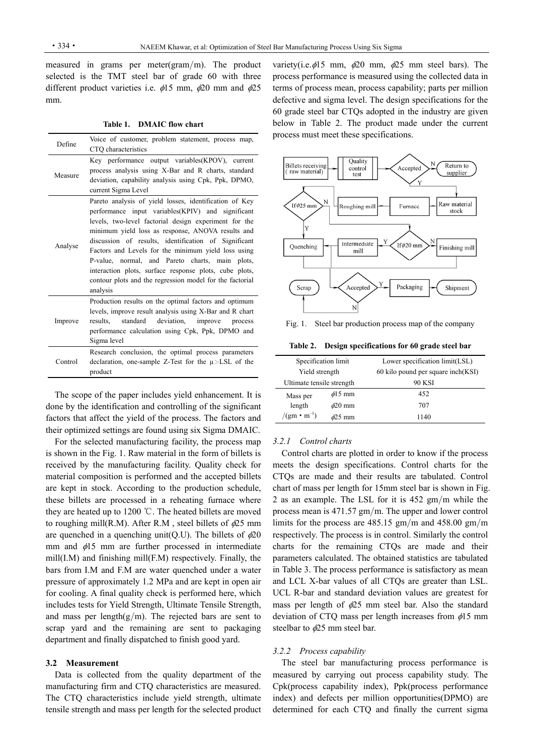measured in grams per meter(gram/m). The product selected is the TMT steel bar of grade 60 with three different product varieties i.e.  $\phi$ 15 mm,  $\phi$ 20 mm and  $\phi$ 25 mm.

**Table 1. DMAIC flow chart** 

| Define  | Voice of customer, problem statement, process map,<br>CTQ characteristics                                                                                                                                                                                                                                                                                                                                                                                                                                                      |
|---------|--------------------------------------------------------------------------------------------------------------------------------------------------------------------------------------------------------------------------------------------------------------------------------------------------------------------------------------------------------------------------------------------------------------------------------------------------------------------------------------------------------------------------------|
| Measure | Key performance output variables (KPOV), current<br>process analysis using X-Bar and R charts, standard<br>deviation, capability analysis using Cpk, Ppk, DPMO,<br>current Sigma Level                                                                                                                                                                                                                                                                                                                                         |
| Analyse | Pareto analysis of yield losses, identification of Key<br>performance input variables (KPIV) and significant<br>levels, two-level factorial design experiment for the<br>minimum yield loss as response, ANOVA results and<br>discussion of results, identification of Significant<br>Factors and Levels for the minimum yield loss using<br>P-value, normal, and Pareto charts, main plots,<br>interaction plots, surface response plots, cube plots,<br>contour plots and the regression model for the factorial<br>analysis |
| Improve | Production results on the optimal factors and optimum<br>levels, improve result analysis using X-Bar and R chart<br>standard<br>deviation,<br>results.<br>improve process<br>performance calculation using Cpk, Ppk, DPMO and<br>Sigma level                                                                                                                                                                                                                                                                                   |
| Control | Research conclusion, the optimal process parameters<br>declaration, one-sample Z-Test for the $\mu$ >LSL of the<br>product                                                                                                                                                                                                                                                                                                                                                                                                     |

The scope of the paper includes yield enhancement. It is done by the identification and controlling of the significant factors that affect the yield of the process. The factors and their optimized settings are found using six Sigma DMAIC.

For the selected manufacturing facility, the process map is shown in the Fig. 1. Raw material in the form of billets is received by the manufacturing facility. Quality check for material composition is performed and the accepted billets are kept in stock. According to the production schedule, these billets are processed in a reheating furnace where they are heated up to 1200 ℃. The heated billets are moved to roughing mill(R.M). After R.M, steel billets of  $\phi$ 25 mm are quenched in a quenching unit(Q.U). The billets of  $\phi$ 20 mm and  $\phi$ 15 mm are further processed in intermediate mill(I.M) and finishing mill(F.M) respectively. Finally, the bars from I.M and F.M are water quenched under a water pressure of approximately 1.2 MPa and are kept in open air for cooling. A final quality check is performed here, which includes tests for Yield Strength, Ultimate Tensile Strength, and mass per length $(g/m)$ . The rejected bars are sent to scrap yard and the remaining are sent to packaging department and finally dispatched to finish good yard.

#### **3.2 Measurement**

Data is collected from the quality department of the manufacturing firm and CTQ characteristics are measured. The CTQ characteristics include yield strength, ultimate tensile strength and mass per length for the selected product variety(i.e.  $\phi$ 15 mm,  $\phi$ 20 mm,  $\phi$ 25 mm steel bars). The process performance is measured using the collected data in terms of process mean, process capability; parts per million defective and sigma level. The design specifications for the 60 grade steel bar CTQs adopted in the industry are given below in Table 2. The product made under the current process must meet these specifications.



Fig. 1. Steel bar production process map of the company

**Table 2. Design specifications for 60 grade steel bar** 

|                           | Specification limit | Lower specification limit(LSL)      |
|---------------------------|---------------------|-------------------------------------|
| Yield strength            |                     | 60 kilo pound per square inch (KSI) |
| Ultimate tensile strength |                     | <b>90 KSI</b>                       |
| Mass per                  | $\phi$ 15 mm        | 452                                 |
| length                    | $\phi$ 20 mm        | 707                                 |
| $/(gm \cdot m^{-1})$      | <i>s</i> 25 mm      | 1140                                |

### *3.2.1 Control charts*

Control charts are plotted in order to know if the process meets the design specifications. Control charts for the CTQs are made and their results are tabulated. Control chart of mass per length for 15mm steel bar is shown in Fig. 2 as an example. The LSL for it is 452 gm/m while the process mean is 471.57 gm/m. The upper and lower control limits for the process are 485.15 gm/m and 458.00 gm/m respectively. The process is in control. Similarly the control charts for the remaining CTQs are made and their parameters calculated. The obtained statistics are tabulated in Table 3. The process performance is satisfactory as mean and LCL X-bar values of all CTQs are greater than LSL. UCL R-bar and standard deviation values are greatest for mass per length of  $\phi$ 25 mm steel bar. Also the standard deviation of CTQ mass per length increases from  $\phi$ 15 mm steelbar to  $\phi$ 25 mm steel bar.

### *3.2.2 Process capability*

The steel bar manufacturing process performance is measured by carrying out process capability study. The Cpk(process capability index), Ppk(process performance index) and defects per million opportunities(DPMO) are determined for each CTQ and finally the current sigma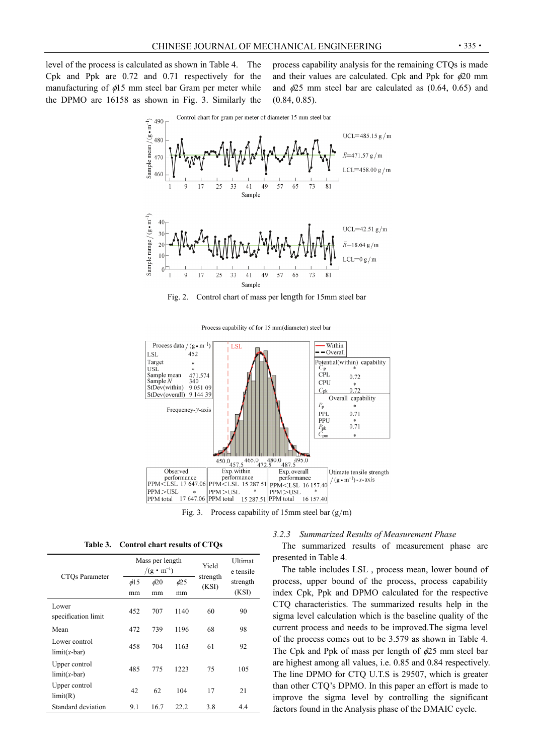level of the process is calculated as shown in Table 4. The Cpk and Ppk are 0.72 and 0.71 respectively for the manufacturing of  $\phi$ 15 mm steel bar Gram per meter while the DPMO are 16158 as shown in Fig. 3. Similarly the process capability analysis for the remaining CTQs is made and their values are calculated. Cpk and Ppk for  $\phi$ 20 mm and  $\phi$ 25 mm steel bar are calculated as (0.64, 0.65) and (0.84, 0.85).



Fig. 2. Control chart of mass per length for 15mm steel bar



Process capability of for 15 mm(diameter) steel bar

**Table 3. Control chart results of CTQs** 

|                                 |                 | Mass per length<br>$/(g \cdot m^{-1})$ | Yield           | Ultimat<br>e tensile |                   |
|---------------------------------|-----------------|----------------------------------------|-----------------|----------------------|-------------------|
| CTO <sub>s</sub> Parameter      | $\phi$ 15<br>mm | $\phi$ 20<br>mm                        | $\phi$ 25<br>mm | strength<br>(KSI)    | strength<br>(KSI) |
| Lower<br>specification limit    | 452             | 707                                    | 1140            | 60                   | 90                |
| Mean                            | 472             | 739                                    | 1196            | 68                   | 98                |
| Lower control<br>$limit(x-bar)$ | 458             | 704                                    | 1163            | 61                   | 92                |
| Upper control<br>$limit(x-bar)$ | 485             | 775                                    | 1223            | 75                   | 105               |
| Upper control<br>limit(R)       | 42              | 62                                     | 104             | 17                   | 21                |
| Standard deviation              | 9.1             | 16.7                                   | 22.2            | 3.8                  | 4.4               |

## *3.2.3 Summarized Results of Measurement Phase*

The summarized results of measurement phase are presented in Table 4.

The table includes LSL , process mean, lower bound of process, upper bound of the process, process capability index Cpk, Ppk and DPMO calculated for the respective CTQ characteristics. The summarized results help in the sigma level calculation which is the baseline quality of the current process and needs to be improved.The sigma level of the process comes out to be 3.579 as shown in Table 4. The Cpk and Ppk of mass per length of  $\phi$ 25 mm steel bar are highest among all values, i.e. 0.85 and 0.84 respectively. The line DPMO for CTQ U.T.S is 29507, which is greater than other CTQ's DPMO. In this paper an effort is made to improve the sigma level by controlling the significant factors found in the Analysis phase of the DMAIC cycle.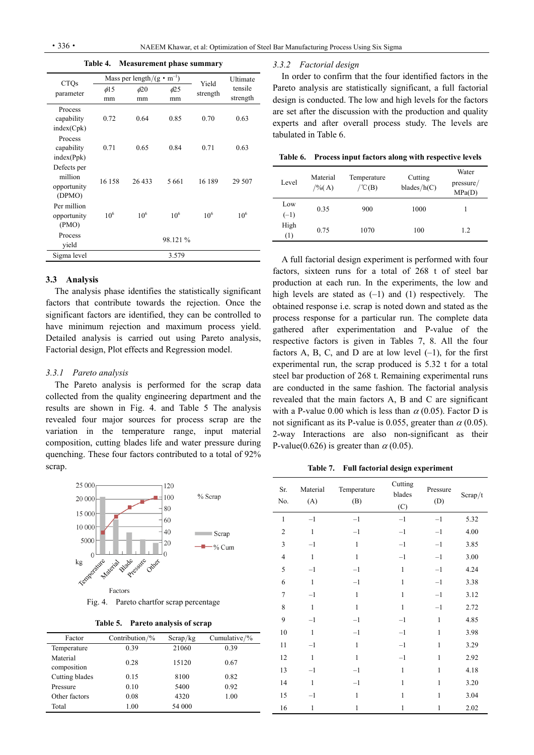**Table 4. Measurement phase summary** 

| <b>CTQs</b> |           | Mass per length/ $(g \cdot m^{-1})$ |           | Yield    | Ultimate |
|-------------|-----------|-------------------------------------|-----------|----------|----------|
| parameter   | $\phi$ 15 | $\phi$ 20                           | $\phi$ 25 | strength | tensile  |
|             | mm        | mm                                  | mm        |          | strength |
| Process     |           |                                     |           |          |          |
| capability  | 0.72      | 0.64                                | 0.85      | 0.70     | 0.63     |
| index(Cpk)  |           |                                     |           |          |          |
| Process     |           |                                     |           |          |          |
| capability  | 0.71      | 0.65                                | 0.84      | 0.71     | 0.63     |
| index(Ppk)  |           |                                     |           |          |          |
| Defects per |           |                                     |           |          |          |
| million     | 16 158    | 26 433                              | 5661      | 16 189   | 29 507   |
| opportunity |           |                                     |           |          |          |
| (DPMO)      |           |                                     |           |          |          |
| Per million |           |                                     |           |          |          |
| opportunity | $10^{6}$  | $10^{6}$                            | $10^{6}$  | $10^{6}$ | $10^{6}$ |
| (PMO)       |           |                                     |           |          |          |
| Process     |           |                                     | 98.121 %  |          |          |
| vield       |           |                                     |           |          |          |
| Sigma level |           |                                     | 3.579     |          |          |

### **3.3 Analysis**

The analysis phase identifies the statistically significant factors that contribute towards the rejection. Once the significant factors are identified, they can be controlled to have minimum rejection and maximum process yield. Detailed analysis is carried out using Pareto analysis, Factorial design, Plot effects and Regression model.

### *3.3.1 Pareto analysis*

The Pareto analysis is performed for the scrap data collected from the quality engineering department and the results are shown in Fig. 4. and Table 5 The analysis revealed four major sources for process scrap are the variation in the temperature range, input material composition, cutting blades life and water pressure during quenching. These four factors contributed to a total of 92% scrap.



Fig. 4. Pareto chartfor scrap percentage

| <b>Table 5.</b> |  |  | Pareto analysis of scrap |
|-----------------|--|--|--------------------------|
|-----------------|--|--|--------------------------|

| Factor                  | Contribution/ $\%$ | Scrap/kg | Cumulative/ $\%$ |
|-------------------------|--------------------|----------|------------------|
| Temperature             | 0.39               | 21060    | 0.39             |
| Material<br>composition | 0.28               | 15120    | 0.67             |
| Cutting blades          | 0.15               | 8100     | 0.82             |
| Pressure                | 0.10               | 5400     | 0.92             |
| Other factors           | 0.08               | 4320     | 1.00             |
| Total                   | 1.00               | 54 000   |                  |

#### *3.3.2 Factorial design*

In order to confirm that the four identified factors in the Pareto analysis are statistically significant, a full factorial design is conducted. The low and high levels for the factors are set after the discussion with the production and quality experts and after overall process study. The levels are tabulated in Table 6.

**Table 6. Process input factors along with respective levels** 

| Level         | Material<br>$/$ %(A) | Temperature<br>$\angle$ °C(B) | Cutting<br>blades/ $h(C)$ | Water<br>pressure/<br>MPa(D) |
|---------------|----------------------|-------------------------------|---------------------------|------------------------------|
| Low<br>$(-1)$ | 0.35                 | 900                           | 1000                      |                              |
| High<br>(1)   | 0.75                 | 1070                          | 100                       | 1.2                          |

A full factorial design experiment is performed with four factors, sixteen runs for a total of 268 t of steel bar production at each run. In the experiments, the low and high levels are stated as  $(-1)$  and  $(1)$  respectively. The obtained response i.e. scrap is noted down and stated as the process response for a particular run. The complete data gathered after experimentation and P-value of the respective factors is given in Tables 7, 8. All the four factors A, B, C, and D are at low level  $(-1)$ , for the first experimental run, the scrap produced is 5.32 t for a total steel bar production of 268 t. Remaining experimental runs are conducted in the same fashion. The factorial analysis revealed that the main factors A, B and C are significant with a P-value 0.00 which is less than  $\alpha$  (0.05). Factor D is not significant as its P-value is 0.055, greater than  $\alpha$  (0.05). 2-way Interactions are also non-significant as their P-value(0.626) is greater than  $\alpha$  (0.05).

**Table 7. Full factorial design experiment** 

| Sr.<br>No.     | Material<br>(A) | Temperature<br>(B) | Cutting<br>blades<br>(C) | Pressure<br>(D) | Scrap/t |
|----------------|-----------------|--------------------|--------------------------|-----------------|---------|
| $\mathbf{1}$   | $-1$            | $-1$               | $-1$                     | $-1$            | 5.32    |
| $\overline{c}$ | $\mathbf{1}$    | $-1$               | $-1$                     | $-1$            | 4.00    |
| 3              | $-1$            | $\,1\,$            | $-1$                     | $-1$            | 3.85    |
| $\overline{4}$ | $\mathbf{1}$    | $\mathbf{1}$       | $-1$                     | $-1$            | 3.00    |
| 5              | $-1$            | $-1$               | $\mathbf{1}$             | $-1$            | 4.24    |
| 6              | $\mathbf{1}$    | $-1$               | $\mathbf{1}$             | $-1$            | 3.38    |
| $\overline{7}$ | $-1$            | $\mathbf{1}$       | $\mathbf{1}$             | $-1$            | 3.12    |
| 8              | $\mathbf{1}$    | $\mathbf{1}$       | $\mathbf{1}$             | $-1$            | 2.72    |
| 9              | $-1$            | $-1$               | $-1$                     | $\mathbf{1}$    | 4.85    |
| 10             | $\mathbf{1}$    | $-1$               | $-1$                     | $\mathbf{1}$    | 3.98    |
| 11             | $-1$            | $\mathbf{1}$       | $-1$                     | $\mathbf{1}$    | 3.29    |
| 12             | $\mathbf{1}$    | $\mathbf{1}$       | $-1$                     | $\mathbf{1}$    | 2.92    |
| 13             | $-1$            | $-1$               | $\mathbf{1}$             | $\mathbf{1}$    | 4.18    |
| 14             | $\mathbf{1}$    | $-1$               | $\mathbf{1}$             | 1               | 3.20    |
| 15             | $-1$            | 1                  | $\mathbf{1}$             | 1               | 3.04    |
| 16             | $\mathbf{1}$    | 1                  | $\mathbf{1}$             | 1               | 2.02    |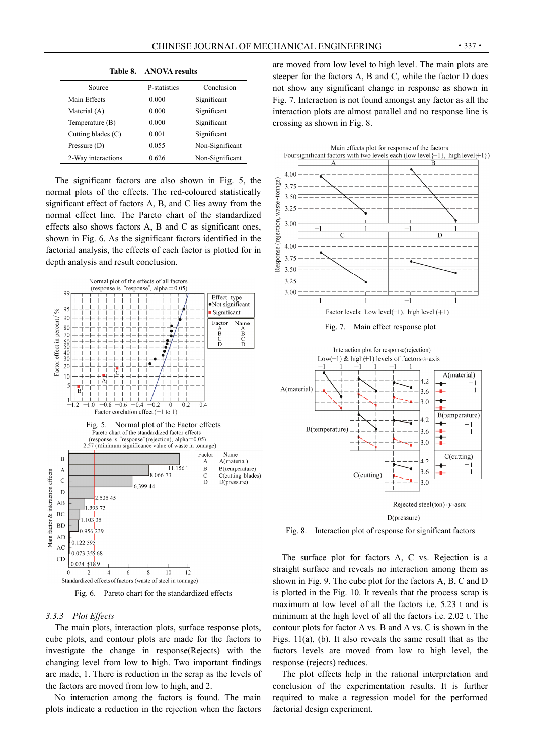|                      | Table 8. ANOVA results |                 |
|----------------------|------------------------|-----------------|
| Source               | P-statistics           | Conclusion      |
| Main Effects         | 0.000                  | Significant     |
| Material (A)         | 0.000                  | Significant     |
| Temperature (B)      | 0.000                  | Significant     |
| Cutting blades $(C)$ | 0.001                  | Significant     |
| Pressure $(D)$       | 0.055                  | Non-Significant |
| 2-Way interactions   | 0.626                  | Non-Significant |

The significant factors are also shown in Fig. 5, the normal plots of the effects. The red-coloured statistically significant effect of factors A, B, and C lies away from the normal effect line. The Pareto chart of the standardized effects also shows factors A, B and C as significant ones, shown in Fig. 6. As the significant factors identified in the factorial analysis, the effects of each factor is plotted for in depth analysis and result conclusion.



Fig. 6. Pareto chart for the standardized effects

## *3.3.3 Plot Effects*

The main plots, interaction plots, surface response plots, cube plots, and contour plots are made for the factors to investigate the change in response(Rejects) with the changing level from low to high. Two important findings are made, 1. There is reduction in the scrap as the levels of the factors are moved from low to high, and 2.

No interaction among the factors is found. The main plots indicate a reduction in the rejection when the factors are moved from low level to high level. The main plots are steeper for the factors A, B and C, while the factor D does not show any significant change in response as shown in Fig. 7. Interaction is not found amongst any factor as all the interaction plots are almost parallel and no response line is crossing as shown in Fig. 8.



Fig. 8. Interaction plot of response for significant factors

The surface plot for factors A, C vs. Rejection is a straight surface and reveals no interaction among them as shown in Fig. 9. The cube plot for the factors A, B, C and D is plotted in the Fig. 10. It reveals that the process scrap is maximum at low level of all the factors i.e. 5.23 t and is minimum at the high level of all the factors i.e. 2.02 t. The contour plots for factor A vs. B and A vs. C is shown in the Figs. 11(a), (b). It also reveals the same result that as the factors levels are moved from low to high level, the response (rejects) reduces.

The plot effects help in the rational interpretation and conclusion of the experimentation results. It is further required to make a regression model for the performed factorial design experiment.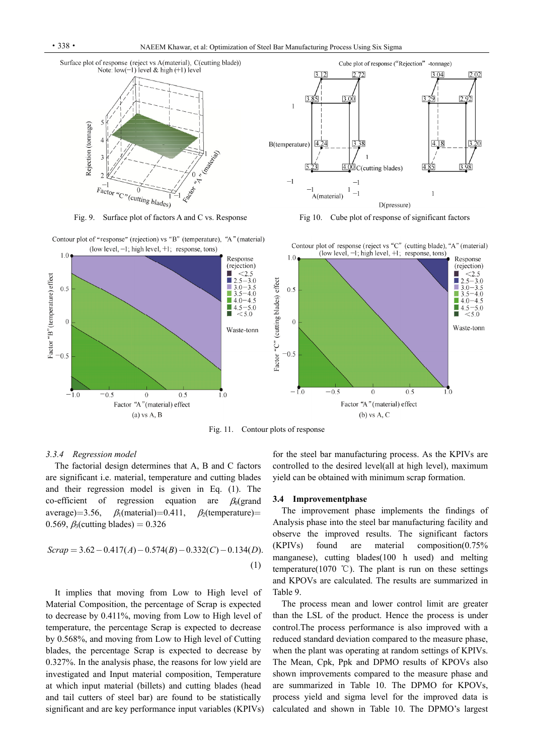

Fig. 9. Surface plot of factors A and C vs. Response Fig 10. Cube plot of response of significant factors





Fig. 11. Contour plots of response

### *3.3.4 Regression model*

The factorial design determines that A, B and C factors are significant i.e. material, temperature and cutting blades and their regression model is given in Eq. (1). The co-efficient of regression equation are  $\beta_0$  (grand average)=3.56,  $\beta_1$ (material)=0.411,  $\beta_2$ (temperature)= 0.569,  $\beta_3$ (cutting blades) = 0.326

$$
Scrap = 3.62 - 0.417(A) - 0.574(B) - 0.332(C) - 0.134(D).
$$
\n(1)

It implies that moving from Low to High level of Material Composition, the percentage of Scrap is expected to decrease by 0.411%, moving from Low to High level of temperature, the percentage Scrap is expected to decrease by 0.568%, and moving from Low to High level of Cutting blades, the percentage Scrap is expected to decrease by 0.327%. In the analysis phase, the reasons for low yield are investigated and Input material composition, Temperature at which input material (billets) and cutting blades (head and tail cutters of steel bar) are found to be statistically significant and are key performance input variables (KPIVs) for the steel bar manufacturing process. As the KPIVs are controlled to the desired level(all at high level), maximum yield can be obtained with minimum scrap formation.

#### **3.4 Improvementphase**

The improvement phase implements the findings of Analysis phase into the steel bar manufacturing facility and observe the improved results. The significant factors (KPIVs) found are material composition(0.75% manganese), cutting blades(100 h used) and melting temperature(1070 °C). The plant is run on these settings and KPOVs are calculated. The results are summarized in Table 9.

The process mean and lower control limit are greater than the LSL of the product. Hence the process is under control.The process performance is also improved with a reduced standard deviation compared to the measure phase, when the plant was operating at random settings of KPIVs. The Mean, Cpk, Ppk and DPMO results of KPOVs also shown improvements compared to the measure phase and are summarized in Table 10. The DPMO for KPOVs, process yield and sigma level for the improved data is calculated and shown in Table 10. The DPMO's largest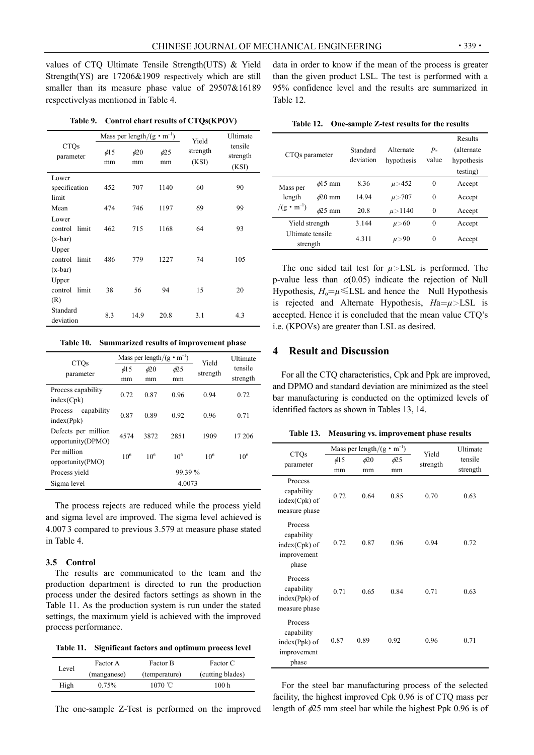values of CTQ Ultimate Tensile Strength(UTS) & Yield Strength(YS) are 17206&1909 respectively which are still smaller than its measure phase value of 29507&16189 respectivelyas mentioned in Table 4.

|                                        |                 | Mass per length/ $(g \cdot m^{-1})$ |                 | Yield             | Ultimate                     |
|----------------------------------------|-----------------|-------------------------------------|-----------------|-------------------|------------------------------|
| <b>CTQs</b><br>parameter               | $\phi$ 15<br>mm | $\phi$ 20<br>mm                     | $\phi$ 25<br>mm | strength<br>(KSI) | tensile<br>strength<br>(KSI) |
| Lower<br>specification<br>limit        | 452             | 707                                 | 1140            | 60                | 90                           |
| Mean                                   | 474             | 746                                 | 1197            | 69                | 99                           |
| Lower<br>limit<br>control<br>$(x-bar)$ | 462             | 715                                 | 1168            | 64                | 93                           |
| Upper<br>limit<br>control<br>$(x-bar)$ | 486             | 779                                 | 1227            | 74                | 105                          |
| Upper<br>limit<br>control<br>(R)       | 38              | 56                                  | 94              | 15                | 20                           |
| Standard<br>deviation                  | 8.3             | 14.9                                | 20.8            | 3.1               | 4.3                          |

**Table 9. Control chart results of CTQs(KPOV)** 

| Table 10. Summarized results of improvement phase |  |  |  |  |  |
|---------------------------------------------------|--|--|--|--|--|
|---------------------------------------------------|--|--|--|--|--|

| <b>CTOs</b>                              |           | Mass per length/ $(g \cdot m^{-1})$ |           | Yield    | Ultimate |
|------------------------------------------|-----------|-------------------------------------|-----------|----------|----------|
| parameter                                | $\phi$ 15 | $\phi$ 20                           | $\phi$ 25 | strength | tensile  |
|                                          | mm        | mm                                  | mm        |          | strength |
| Process capability<br>index(Cpk)         | 0.72      | 0.87                                | 0.96      | 0.94     | 0.72     |
| capability<br>Process<br>index(Ppk)      | 0.87      | 0.89                                | 0.92      | 0.96     | 0.71     |
| Defects per million<br>opportunity(DPMO) | 4574      | 3872                                | 2851      | 1909     | 17 206   |
| Per million<br>opportunity(PMO)          | $10^{6}$  | 10 <sup>6</sup>                     | $10^{6}$  | $10^{6}$ | $10^{6}$ |
| Process yield                            |           |                                     | 99.39%    |          |          |
| Sigma level                              |           |                                     | 4.0073    |          |          |

The process rejects are reduced while the process yield and sigma level are improved. The sigma level achieved is 4.007 3 compared to previous 3.579 at measure phase stated in Table 4.

### **3.5 Control**

The results are communicated to the team and the production department is directed to run the production process under the desired factors settings as shown in the Table 11. As the production system is run under the stated settings, the maximum yield is achieved with the improved process performance.

**Table 11. Significant factors and optimum process level** 

| Level | Factor A    | Factor B      | Factor C<br>(cutting blades) |  |
|-------|-------------|---------------|------------------------------|--|
|       | (manganese) | (temperature) |                              |  |
| High  | 0.75%       | $1070$ °C     | 100 <sub>h</sub>             |  |

The one-sample Z-Test is performed on the improved

data in order to know if the mean of the process is greater than the given product LSL. The test is performed with a 95% confidence level and the results are summarized in Table 12.

| Table 12. One-sample Z-test results for the results |  |  |  |
|-----------------------------------------------------|--|--|--|
|-----------------------------------------------------|--|--|--|

| CTQs parameter                            |              | Standard<br>deviation | Alternate<br>hypothesis | $P-$<br>value | Results<br>(alternate)<br>hypothesis<br>testing) |
|-------------------------------------------|--------------|-----------------------|-------------------------|---------------|--------------------------------------------------|
| Mass per<br>length<br>$/(g \cdot m^{-1})$ | $\phi$ 15 mm | 8.36                  | $\mu > 452$             | $\theta$      | Accept                                           |
|                                           | $\phi$ 20 mm | 14.94                 | $\mu > 707$             | $\theta$      | Accept                                           |
|                                           | $\phi$ 25 mm | 20.8                  | $\mu > 1140$            | $\theta$      | Accept                                           |
| Yield strength                            |              | 3.144                 | $\mu > 60$              | $\theta$      | Accept                                           |
| Ultimate tensile<br>strength              |              | 4.311                 | $\mu > 90$              | $\theta$      | Accept                                           |

The one sided tail test for  $\mu$ >LSL is performed. The p-value less than  $\alpha$ (0.05) indicate the rejection of Null Hypothesis,  $H_0 = \mu \leq LSL$  and hence the Null Hypothesis is rejected and Alternate Hypothesis, *H*a=*µ*>LSL is accepted. Hence it is concluded that the mean value CTQ's i.e. (KPOVs) are greater than LSL as desired.

# **4 Result and Discussion**

For all the CTQ characteristics, Cpk and Ppk are improved, and DPMO and standard deviation are minimized as the steel bar manufacturing is conducted on the optimized levels of identified factors as shown in Tables 13, 14.

|  |  |  |  |  |  |  |  |  |  |  |  |  | Table 13. Measuring vs. improvement phase results |  |  |
|--|--|--|--|--|--|--|--|--|--|--|--|--|---------------------------------------------------|--|--|
|--|--|--|--|--|--|--|--|--|--|--|--|--|---------------------------------------------------|--|--|

| <b>CTQs</b>                                                      |                 | Mass per length/ $(g \cdot m^{-1})$ |                 | Yield    | Ultimate            |
|------------------------------------------------------------------|-----------------|-------------------------------------|-----------------|----------|---------------------|
| parameter                                                        | $\phi$ 15<br>mm | $\phi$ 20<br>mm                     | $\phi$ 25<br>mm | strength | tensile<br>strength |
| Process<br>capability<br>$index(Cpk)$ of<br>measure phase        | 0.72            | 0.64                                | 0.85            | 0.70     | 0.63                |
| Process<br>capability<br>$index(Cpk)$ of<br>improvement<br>phase | 0.72            | 0.87                                | 0.96            | 0.94     | 0.72                |
| Process<br>capability<br>$index(Ppk)$ of<br>measure phase        | 0.71            | 0.65                                | 0.84            | 0.71     | 0.63                |
| Process<br>capability<br>$index(Ppk)$ of<br>improvement<br>phase | 0.87            | 0.89                                | 0.92            | 0.96     | 0.71                |

For the steel bar manufacturing process of the selected facility, the highest improved Cpk 0.96 is of CTQ mass per length of  $\phi$ 25 mm steel bar while the highest Ppk 0.96 is of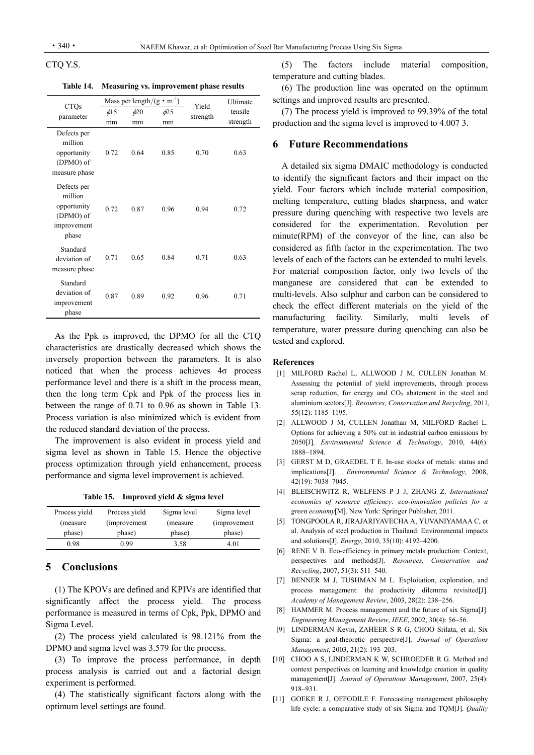### CTQ Y.S.

**Table 14. Measuring vs. improvement phase results** 

|                                                                            |           |           | Mass per length/ $(g \cdot m^{-1})$ | Yield    | Ultimate |
|----------------------------------------------------------------------------|-----------|-----------|-------------------------------------|----------|----------|
| <b>CTQs</b><br>parameter                                                   | $\phi$ 15 | $\phi$ 20 | $\phi$ 25                           | strength | tensile  |
|                                                                            | mm        | mm        | mm                                  |          | strength |
| Defects per<br>million<br>opportunity<br>(DPMO) of<br>measure phase        | 0.72      | 0.64      | 0.85                                | 0.70     | 0.63     |
| Defects per<br>million<br>opportunity<br>(DPMO) of<br>improvement<br>phase | 0.72      | 0.87      | 0.96                                | 0.94     | 0.72     |
| Standard<br>deviation of<br>measure phase                                  | 0.71      | 0.65      | 0.84                                | 0.71     | 0.63     |
| Standard<br>deviation of<br>improvement<br>phase                           | 0.87      | 0.89      | 0.92                                | 0.96     | 0.71     |

As the Ppk is improved, the DPMO for all the CTQ characteristics are drastically decreased which shows the inversely proportion between the parameters. It is also noticed that when the process achieves 4σ process performance level and there is a shift in the process mean, then the long term Cpk and Ppk of the process lies in between the range of 0.71 to 0.96 as shown in Table 13. Process variation is also minimized which is evident from the reduced standard deviation of the process.

The improvement is also evident in process yield and sigma level as shown in Table 15. Hence the objective process optimization through yield enhancement, process performance and sigma level improvement is achieved.

**Table 15. Improved yield & sigma level** 

| Process yield | Process yield | Sigma level | Sigma level   |
|---------------|---------------|-------------|---------------|
| (measure)     | (improvement) | (measure)   | (improvement) |
| phase)        | phase)        | phase)      | phase)        |
| 0.98          | 0.99          | 3.58        | 4 01          |

# **5 Conclusions**

(1) The KPOVs are defined and KPIVs are identified that significantly affect the process yield. The process performance is measured in terms of Cpk, Ppk, DPMO and Sigma Level.

(2) The process yield calculated is 98.121% from the DPMO and sigma level was 3.579 for the process.

(3) To improve the process performance, in depth process analysis is carried out and a factorial design experiment is performed.

(4) The statistically significant factors along with the optimum level settings are found.

(5) The factors include material composition, temperature and cutting blades.

(6) The production line was operated on the optimum settings and improved results are presented.

(7) The process yield is improved to 99.39% of the total production and the sigma level is improved to 4.007 3.

# **6 Future Recommendations**

A detailed six sigma DMAIC methodology is conducted to identify the significant factors and their impact on the yield. Four factors which include material composition, melting temperature, cutting blades sharpness, and water pressure during quenching with respective two levels are considered for the experimentation. Revolution per minute(RPM) of the conveyor of the line, can also be considered as fifth factor in the experimentation. The two levels of each of the factors can be extended to multi levels. For material composition factor, only two levels of the manganese are considered that can be extended to multi-levels. Also sulphur and carbon can be considered to check the effect different materials on the yield of the manufacturing facility. Similarly, multi levels of temperature, water pressure during quenching can also be tested and explored.

### **References**

- [1] MILFORD Rachel L, ALLWOOD J M, CULLEN Jonathan M. Assessing the potential of yield improvements, through process scrap reduction, for energy and  $CO<sub>2</sub>$  abatement in the steel and aluminium sectors[J]. *Resources, Conservation and Recycling*, 2011, 55(12): 1185–1195.
- [2] ALLWOOD J M, CULLEN Jonathan M, MILFORD Rachel L. Options for achieving a 50% cut in industrial carbon emissions by 2050[J]. *Environmental Science & Technology*, 2010, 44(6): 1888–1894.
- [3] GERST M D, GRAEDEL T E. In-use stocks of metals: status and implications[J]. *Environmental Science & Technology*, 2008, 42(19): 7038–7045.
- [4] BLEISCHWITZ R, WELFENS P J J, ZHANG Z. *International economics of resource efficiency: eco-innovation policies for a green economy*[M]. New York: Springer Publisher, 2011.
- [5] TONGPOOLA R, JIRAJARIYAVECHA A, YUVANIYAMAA C, et al. Analysis of steel production in Thailand: Environmental impacts and solutions[J]. *Energy*, 2010, 35(10): 4192–4200.
- [6] RENE V B. Eco-efficiency in primary metals production: Context, perspectives and methods[J]. *Resources, Conservation and Recycling*, 2007, 51(3): 511–540.
- [7] BENNER M J, TUSHMAN M L. Exploitation, exploration, and process management: the productivity dilemma revisited[J]. *Academy of Management Review*, 2003, 28(2): 238–256.
- [8] HAMMER M. Process management and the future of six Sigma[J]. *Engineering Management Review*, *IEEE*, 2002, 30(4): 56–56.
- [9] LINDERMAN Kevin, ZAHEER S R G, CHOO Srilata, et al. Six Sigma: a goal-theoretic perspective[J]. *Journal of Operations Management*, 2003, 21(2): 193–203.
- [10] CHOO A S, LINDERMAN K W, SCHROEDER R G. Method and context perspectives on learning and knowledge creation in quality management[J]. *Journal of Operations Management*, 2007, 25(4): 918–931.
- [11] GOEKE R J, OFFODILE F. Forecasting management philosophy life cycle: a comparative study of six Sigma and TQM[J]. *Quality*